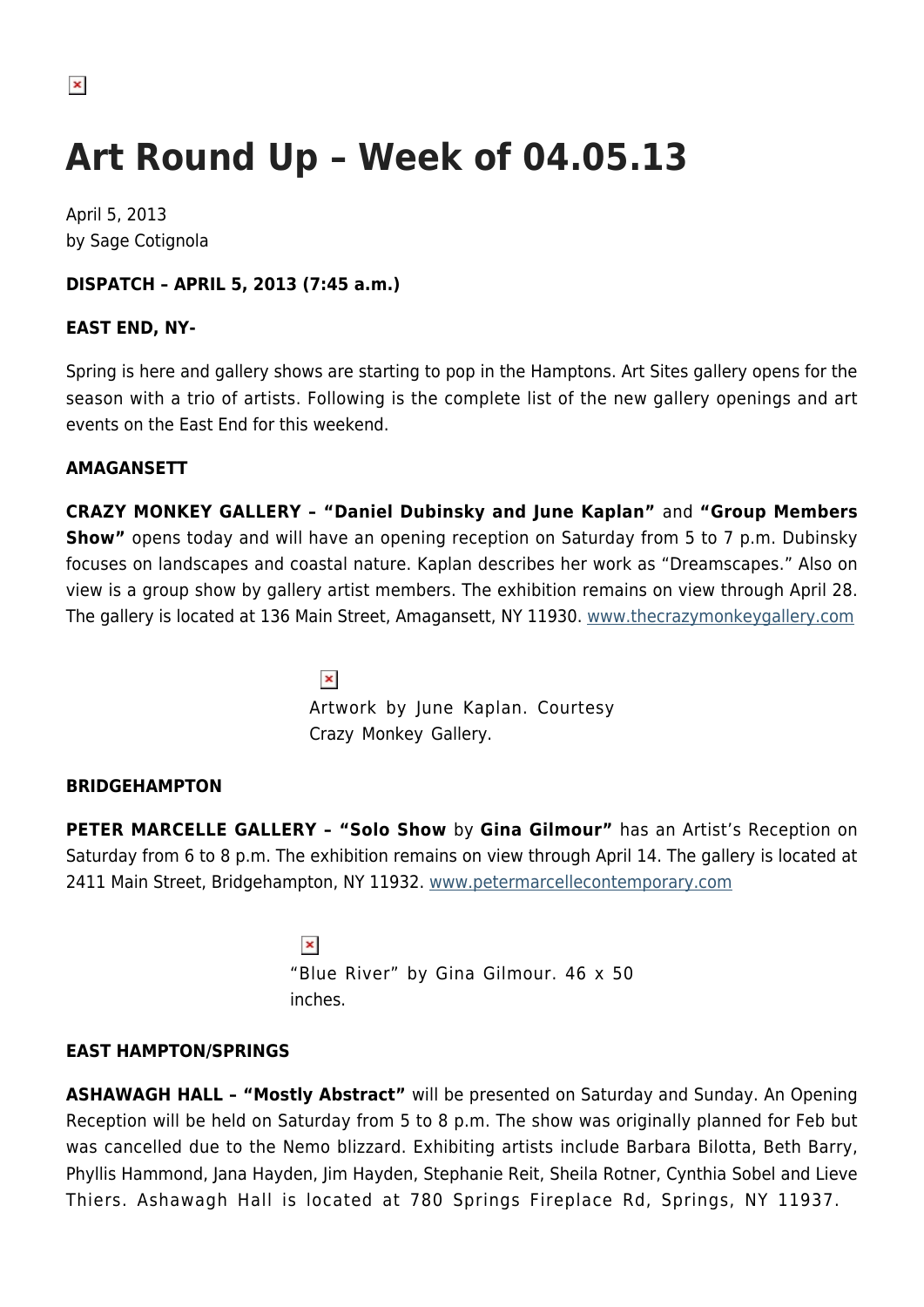# **Art Round Up – Week of 04.05.13**

April 5, 2013 by Sage Cotignola

# **DISPATCH – APRIL 5, 2013 (7:45 a.m.)**

## **EAST END, NY-**

Spring is here and gallery shows are starting to pop in the Hamptons. Art Sites gallery opens for the season with a trio of artists. Following is the complete list of the new gallery openings and art events on the East End for this weekend.

## **AMAGANSETT**

**CRAZY MONKEY GALLERY – "Daniel Dubinsky and June Kaplan"** and **"Group Members Show"** opens today and will have an opening reception on Saturday from 5 to 7 p.m. Dubinsky focuses on landscapes and coastal nature. Kaplan describes her work as "Dreamscapes." Also on view is a group show by gallery artist members. The exhibition remains on view through April 28. The gallery is located at 136 Main Street, Amagansett, NY 11930. [www.thecrazymonkeygallery.com](http://www.thecrazymonkeygallery.com)

> $\pmb{\times}$ Artwork by June Kaplan. Courtesy Crazy Monkey Gallery.

# **BRIDGEHAMPTON**

**PETER MARCELLE GALLERY – "Solo Show** by **Gina Gilmour"** has an Artist's Reception on Saturday from 6 to 8 p.m. The exhibition remains on view through April 14. The gallery is located at 2411 Main Street, Bridgehampton, NY 11932. [www.petermarcellecontemporary.com](http://www.petermarcellecontemporary.com)

> $\pmb{\times}$ "Blue River" by Gina Gilmour. 46 x 50 inches.

# **EAST HAMPTON/SPRINGS**

**ASHAWAGH HALL – "Mostly Abstract"** will be presented on Saturday and Sunday. An Opening Reception will be held on Saturday from 5 to 8 p.m. The show was originally planned for Feb but was cancelled due to the Nemo blizzard. Exhibiting artists include Barbara Bilotta, Beth Barry, Phyllis Hammond, Jana Hayden, Jim Hayden, Stephanie Reit, Sheila Rotner, Cynthia Sobel and Lieve Thiers. Ashawagh Hall is located at 780 Springs Fireplace Rd, Springs, NY 11937.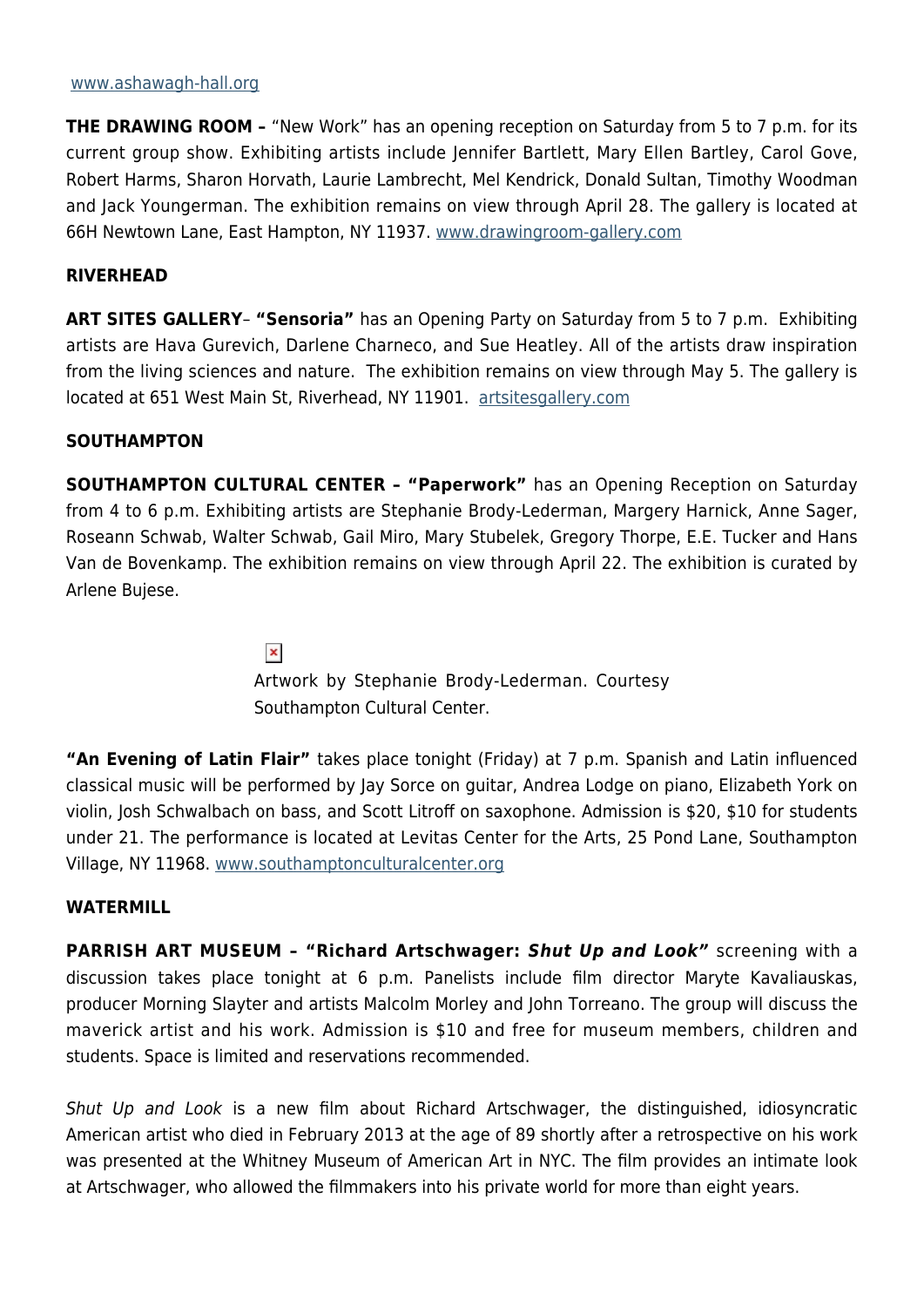#### [www.ashawagh-hall.org](http://www.ashawagh-hall.org/)

**THE DRAWING ROOM -** "New Work" has an opening reception on Saturday from 5 to 7 p.m. for its current group show. Exhibiting artists include Jennifer Bartlett, Mary Ellen Bartley, Carol Gove, Robert Harms, Sharon Horvath, Laurie Lambrecht, Mel Kendrick, Donald Sultan, Timothy Woodman and Jack Youngerman. The exhibition remains on view through April 28. The gallery is located at 66H Newtown Lane, East Hampton, NY 11937. [www.drawingroom-gallery.com](http://www.drawingroom-gallery.com)

## **RIVERHEAD**

**ART SITES GALLERY**– **"Sensoria"** has an Opening Party on Saturday from 5 to 7 p.m. Exhibiting artists are Hava Gurevich, Darlene Charneco, and Sue Heatley. All of the artists draw inspiration from the living sciences and nature. The exhibition remains on view through May 5. The gallery is located at 651 West Main St, Riverhead, NY 11901. [artsitesgallery.com](http://artsitesgallery.com/)

## **SOUTHAMPTON**

**SOUTHAMPTON CULTURAL CENTER – "Paperwork"** has an Opening Reception on Saturday from 4 to 6 p.m. Exhibiting artists are Stephanie Brody-Lederman, Margery Harnick, Anne Sager, Roseann Schwab, Walter Schwab, Gail Miro, Mary Stubelek, Gregory Thorpe, E.E. Tucker and Hans Van de Bovenkamp. The exhibition remains on view through April 22. The exhibition is curated by Arlene Bujese.

 $\pmb{\times}$ 

Artwork by Stephanie Brody-Lederman. Courtesy Southampton Cultural Center.

**"An Evening of Latin Flair"** takes place tonight (Friday) at 7 p.m. Spanish and Latin influenced classical music will be performed by Jay Sorce on guitar, Andrea Lodge on piano, Elizabeth York on violin, Josh Schwalbach on bass, and Scott Litroff on saxophone. Admission is \$20, \$10 for students under 21. The performance is located at Levitas Center for the Arts, 25 Pond Lane, Southampton Village, NY 11968. [www.southamptonculturalcenter.org](http://www.southamptonculturalcenter.org/)

#### **WATERMILL**

**PARRISH ART MUSEUM – "Richard Artschwager:** *Shut Up and Look"* screening with a discussion takes place tonight at 6 p.m. Panelists include film director Maryte Kavaliauskas, producer Morning Slayter and artists Malcolm Morley and John Torreano. The group will discuss the maverick artist and his work. Admission is \$10 and free for museum members, children and students. Space is limited and reservations recommended.

Shut Up and Look is a new film about Richard Artschwager, the distinguished, idiosyncratic American artist who died in February 2013 at the age of 89 shortly after a retrospective on his work was presented at the Whitney Museum of American Art in NYC. The film provides an intimate look at Artschwager, who allowed the filmmakers into his private world for more than eight years.